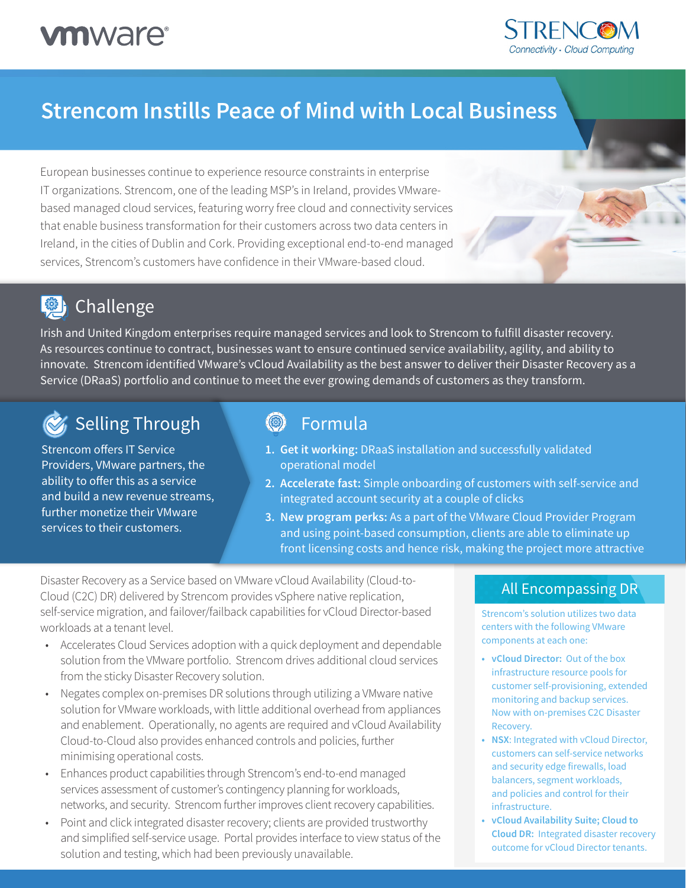

# **Strencom Instills Peace of Mind with Local Business**

European businesses continue to experience resource constraints in enterprise IT organizations. Strencom, one of the leading MSP's in Ireland, provides VMwarebased managed cloud services, featuring worry free cloud and connectivity services that enable business transformation for their customers across two data centers in Ireland, in the cities of Dublin and Cork. Providing exceptional end-to-end managed services, Strencom's customers have confidence in their VMware-based cloud.

# **@** Challenge

Irish and United Kingdom enterprises require managed services and look to Strencom to fulfill disaster recovery. As resources continue to contract, businesses want to ensure continued service availability, agility, and ability to innovate. Strencom identified VMware's vCloud Availability as the best answer to deliver their Disaster Recovery as a Service (DRaaS) portfolio and continue to meet the ever growing demands of customers as they transform.

# **Selling Through**

Strencom offers IT Service Providers, VMware partners, the ability to offer this as a service and build a new revenue streams, further monetize their VMware services to their customers.

#### $\circledS$ Formula

- **1. Get it working:** DRaaS installation and successfully validated operational model
- **2. Accelerate fast:** Simple onboarding of customers with self-service and integrated account security at a couple of clicks
- **3. New program perks:** As a part of the VMware Cloud Provider Program and using point-based consumption, clients are able to eliminate up front licensing costs and hence risk, making the project more attractive

Disaster Recovery as a Service based on VMware vCloud Availability (Cloud-to-Cloud (C2C) DR) delivered by Strencom provides vSphere native replication, self-service migration, and failover/failback capabilities for vCloud Director-based workloads at a tenant level.

- Accelerates Cloud Services adoption with a quick deployment and dependable solution from the VMware portfolio. Strencom drives additional cloud services from the sticky Disaster Recovery solution.
- Negates complex on-premises DR solutions through utilizing a VMware native solution for VMware workloads, with little additional overhead from appliances and enablement. Operationally, no agents are required and vCloud Availability Cloud-to-Cloud also provides enhanced controls and policies, further minimising operational costs.
- Enhances product capabilities through Strencom's end-to-end managed services assessment of customer's contingency planning for workloads, networks, and security. Strencom further improves client recovery capabilities.
- Point and click integrated disaster recovery; clients are provided trustworthy and simplified self-service usage. Portal provides interface to view status of the solution and testing, which had been previously unavailable.

### All Encompassing DR

Strencom's solution utilizes two data centers with the following VMware components at each one:

- **• vCloud Director:** Out of the box infrastructure resource pools for customer self-provisioning, extended monitoring and backup services. Now with on-premises C2C Disaster Recovery.
- **• NSX**: Integrated with vCloud Director, customers can self-service networks and security edge firewalls, load balancers, segment workloads, and policies and control for their infrastructure.
- **• vCloud Availability Suite; Cloud to Cloud DR:** Integrated disaster recovery outcome for vCloud Director tenants.